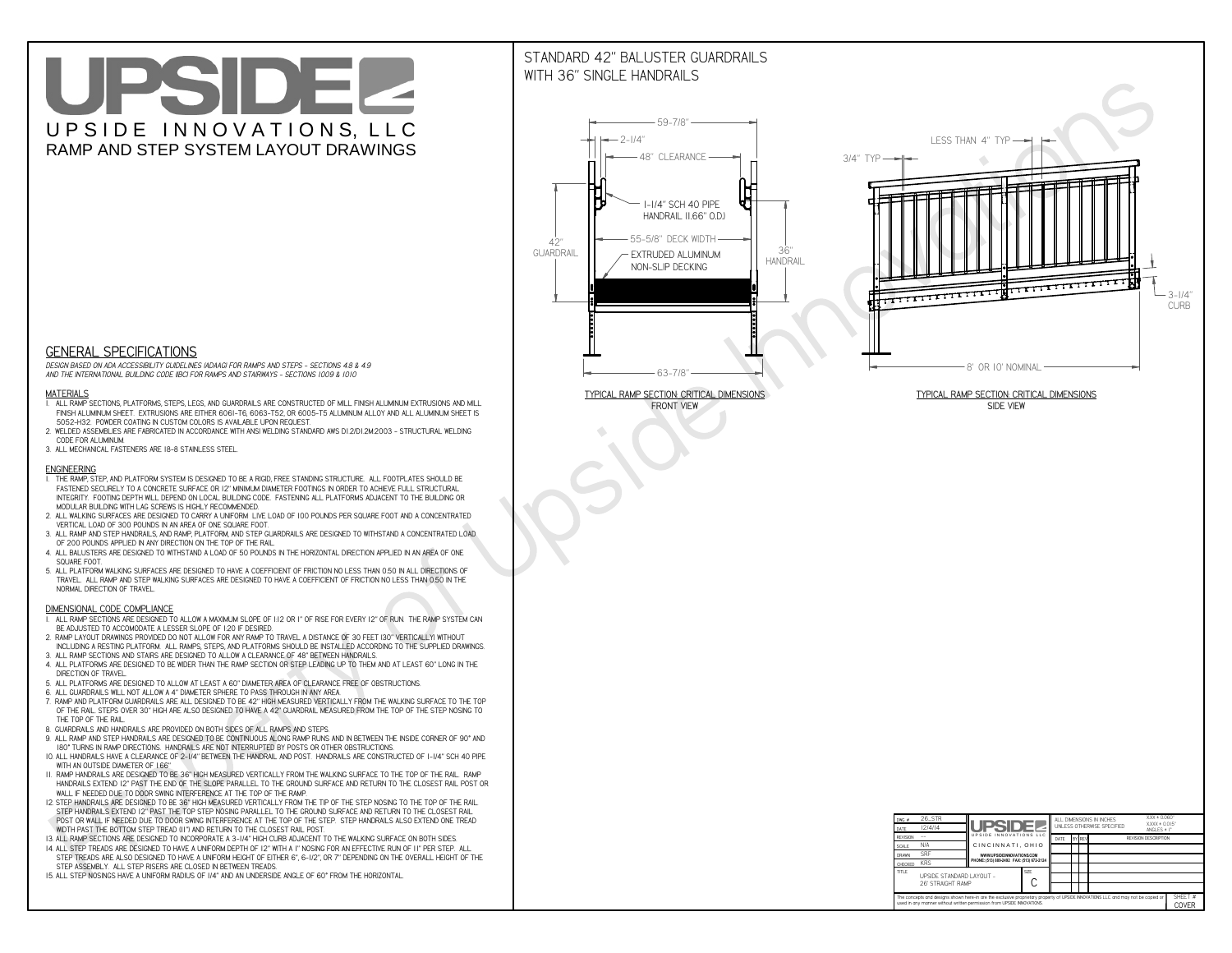# UPSIDEL UPSIDE INNOVATIONS, LLC RAMP AND STEP SYSTEM LAYOUT DRAWINGS

## STANDARD 42" BALUSTER GUARDRAILSWITH 36" SINGLE HANDRAILS

**FRONT VIEW**





**GENERAL SPECIFICATIONS**

 *DESIGN BASED ON ADA ACCESSIBILITY GUIDELINES (ADAAG) FOR RAMPS AND STEPS - SECTIONS 4.8 & 4.9AND THE INTERNATIONAL BUILDING CODE (IBC) FOR RAMPS AND STAIRWAYS - SECTIONS 1009 & 1010*

#### **MATERIALS**

- **1. ALL RAMP SECTIONS, PLATFORMS, STEPS, LEGS, AND GUARDRAILS ARE CONSTRUCTED OF MILL FINISH ALUMINUM EXTRUSIONS AND MILL FINISH ALUMINUM SHEET. EXTRUSIONS ARE EITHER 6061-T6, 6063-T52, OR 6005-T5 ALUMINUM ALLOY AND ALL ALUMINUM SHEET IS 5052-H32. POWDER COATING IN CUSTOM COLORS IS AVAILABLE UPON REQUEST.**
- **2. WELDED ASSEMBLIES ARE FABRICATED IN ACCORDANCE WITH ANSI WELDING STANDARD AWS D1.2/D1.2M:2003 STRUCTURAL WELDING CODE FOR ALUMINUM.**
- **3. ALL MECHANICAL FASTENERS ARE 18-8 STAINLESS STEEL.**

#### **ENGINEERING**

- **1. THE RAMP, STEP, AND PLATFORM SYSTEM IS DESIGNED TO BE A RIGID, FREE STANDING STRUCTURE. ALL FOOTPLATES SHOULD BE FASTENED SECURELY TO A CONCRETE SURFACE OR 12" MINIMUM DIAMETER FOOTINGS IN ORDER TO ACHIEVE FULL STRUCTURAL INTEGRITY. FOOTING DEPTH WILL DEPEND ON LOCAL BUILDING CODE. FASTENING ALL PLATFORMS ADJACENT TO THE BUILDING OR MODULAR BUILDING WITH LAG SCREWS IS HIGHLY RECOMMENDED.**
- **2. ALL WALKING SURFACES ARE DESIGNED TO CARRY A UNIFORM LIVE LOAD OF 100 POUNDS PER SQUARE FOOT AND A CONCENTRATED VERTICAL LOAD OF 300 POUNDS IN AN AREA OF ONE SQUARE FOOT.**
- **3. ALL RAMP AND STEP HANDRAILS, AND RAMP, PLATFORM, AND STEP GUARDRAILS ARE DESIGNED TO WITHSTAND A CONCENTRATED LOAD OF 200 POUNDS APPLIED IN ANY DIRECTION ON THE TOP OF THE RAIL.**
- **4. ALL BALUSTERS ARE DESIGNED TO WITHSTAND A LOAD OF 50 POUNDS IN THE HORIZONTAL DIRECTION APPLIED IN AN AREA OF ONE SQUARE FOOT.**
- **5. ALL PLATFORM WALKING SURFACES ARE DESIGNED TO HAVE A COEFFICIENT OF FRICTION NO LESS THAN 0.50 IN ALL DIRECTIONS OF TRAVEL. ALL RAMP AND STEP WALKING SURFACES ARE DESIGNED TO HAVE A COEFFICIENT OF FRICTION NO LESS THAN 0.50 IN THE NORMAL DIRECTION OF TRAVEL.**

| $DWG.$ #<br>DATE                                                                                                                                                                                            | 26_STR<br>12/4/14                             | <b>UPSIDEZ</b>                            |  | ALL DIMENSIONS IN INCHES<br>UNLESS OTHERWISE SPECIFIED |        |  |  | XXX ± 0.060"<br>$XXX \pm 0.015$ "<br>ANGLES $\pm$ 1° |                         |
|-------------------------------------------------------------------------------------------------------------------------------------------------------------------------------------------------------------|-----------------------------------------------|-------------------------------------------|--|--------------------------------------------------------|--------|--|--|------------------------------------------------------|-------------------------|
| <b>REVISION</b>                                                                                                                                                                                             |                                               | UPSIDE INNOVATIONS LLC                    |  | DATE                                                   | BY REV |  |  | <b>REVISION DESCRIPTION</b>                          |                         |
| <b>SCALE</b>                                                                                                                                                                                                | N/A                                           | CINCINNATI, OHIO                          |  |                                                        |        |  |  |                                                      |                         |
| <b>DRAWN</b>                                                                                                                                                                                                | <b>SRF</b>                                    | WWW.UPSIDEINNOVATIONS.COM                 |  |                                                        |        |  |  |                                                      |                         |
| CHECKED                                                                                                                                                                                                     | <b>KRS</b>                                    | PHONE: (513) 889-2492 FAX: (513) 672-2124 |  |                                                        |        |  |  |                                                      |                         |
| <b>TITLE</b>                                                                                                                                                                                                | UPSIDE STANDARD LAYOUT -<br>26' STRAIGHT RAMP |                                           |  |                                                        |        |  |  |                                                      |                         |
| The concepts and designs shown here-in are the exclusive proprietary property of UPSIDE INNOVATIONS LLC. and may not be copied or<br>used in any manner without written permission from UPSIDE INNOVATIONS. |                                               |                                           |  |                                                        |        |  |  |                                                      | SHEET #<br><b>COVER</b> |

### **DIMENSIONAL CODE COMPLIANCE**

- **1. ALL RAMP SECTIONS ARE DESIGNED TO ALLOW A MAXIMUM SLOPE OF 1:12 OR 1" OF RISE FOR EVERY 12" OF RUN. THE RAMP SYSTEM CAN BE ADJUSTED TO ACCOMODATE A LESSER SLOPE OF 1:20 IF DESIRED.**
- **2. RAMP LAYOUT DRAWINGS PROVIDED DO NOT ALLOW FOR ANY RAMP TO TRAVEL A DISTANCE OF 30 FEET (30" VERTICALLY) WITHOUT INCLUDING A RESTING PLATFORM. ALL RAMPS, STEPS, AND PLATFORMS SHOULD BE INSTALLED ACCORDING TO THE SUPPLIED DRAWINGS.**
- **3. ALL RAMP SECTIONS AND STAIRS ARE DESIGNED TO ALLOW A CLEARANCE OF 48" BETWEEN HANDRAILS.**
- **4. ALL PLATFORMS ARE DESIGNED TO BE WIDER THAN THE RAMP SECTION OR STEP LEADING UP TO THEM AND AT LEAST 60" LONG IN THE DIRECTION OF TRAVEL.**
- **5. ALL PLATFORMS ARE DESIGNED TO ALLOW AT LEAST A 60" DIAMETER AREA OF CLEARANCE FREE OF OBSTRUCTIONS.**
- **6. ALL GUARDRAILS WILL NOT ALLOW A 4" DIAMETER SPHERE TO PASS THROUGH IN ANY AREA.**
- **7. RAMP AND PLATFORM GUARDRAILS ARE ALL DESIGNED TO BE 42" HIGH MEASURED VERTICALLY FROM THE WALKING SURFACE TO THE TOP OF THE RAIL. STEPS OVER 30" HIGH ARE ALSO DESIGNED TO HAVE A 42" GUARDRAIL MEASURED FROM THE TOP OF THE STEP NOSING TO THE TOP OF THE RAIL.**
- **8. GUARDRAILS AND HANDRAILS ARE PROVIDED ON BOTH SIDES OF ALL RAMPS AND STEPS.**
- **9. ALL RAMP AND STEP HANDRAILS ARE DESIGNED TO BE CONTINUOUS ALONG RAMP RUNS AND IN BETWEEN THE INSIDE CORNER OF 90° AND 180° TURNS IN RAMP DIRECTIONS. HANDRAILS ARE NOT INTERRUPTED BY POSTS OR OTHER OBSTRUCTIONS.**
- **10. ALL HANDRAILS HAVE A CLEARANCE OF 2-1/4" BETWEEN THE HANDRAIL AND POST. HANDRAILS ARE CONSTRUCTED OF 1-1/4" SCH 40 PIPE WITH AN OUTSIDE DIAMETER OF 1.66"**
- **11. RAMP HANDRAILS ARE DESIGNED TO BE 36" HIGH MEASURED VERTICALLY FROM THE WALKING SURFACE TO THE TOP OF THE RAIL. RAMP HANDRAILS EXTEND 12" PAST THE END OF THE SLOPE PARALLEL TO THE GROUND SURFACE AND RETURN TO THE CLOSEST RAIL POST OR WALL IF NEEDED DUE TO DOOR SWING INTERFERENCE AT THE TOP OF THE RAMP.**
- **12. STEP HANDRAILS ARE DESIGNED TO BE 36" HIGH MEASURED VERTICALLY FROM THE TIP OF THE STEP NOSING TO THE TOP OF THE RAIL. STEP HANDRAILS EXTEND 12" PAST THE TOP STEP NOSING PARALLEL TO THE GROUND SURFACE AND RETURN TO THE CLOSEST RAIL POST OR WALL IF NEEDED DUE TO DOOR SWING INTERFERENCE AT THE TOP OF THE STEP. STEP HANDRAILS ALSO EXTEND ONE TREAD**
- **WIDTH PAST THE BOTTOM STEP TREAD (11") AND RETURN TO THE CLOSEST RAIL POST.**
- **13. ALL RAMP SECTIONS ARE DESIGNED TO INCORPORATE A 3-1/4" HIGH CURB ADJACENT TO THE WALKING SURFACE ON BOTH SIDES.**
- **14. ALL STEP TREADS ARE DESIGNED TO HAVE A UNIFORM DEPTH OF 12" WITH A 1" NOSING FOR AN EFFECTIVE RUN OF 11" PER STEP. ALL STEP TREADS ARE ALSO DESIGNED TO HAVE A UNIFORM HEIGHT OF EITHER 6", 6-1/2", OR 7" DEPENDING ON THE OVERALL HEIGHT OF THE STEP ASSEMBLY. ALL STEP RISERS ARE CLOSED IN BETWEEN TREADS.**
- **15. ALL STEP NOSINGS HAVE A UNIFORM RADIUS OF 1/4" AND AN UNDERSIDE ANGLE OF 60° FROM THE HORIZONTAL.**